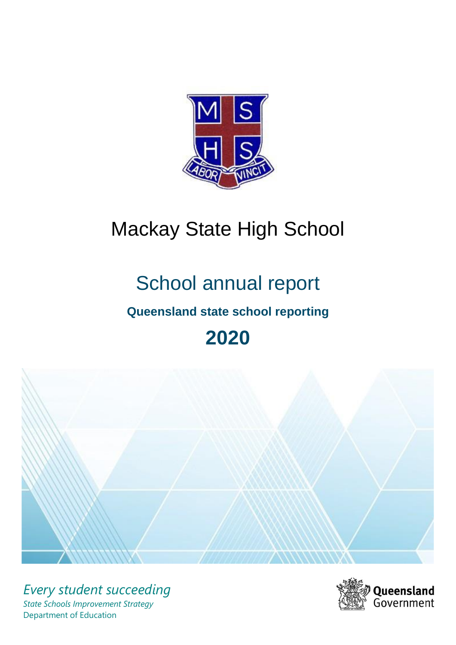

# Mackay State High School

# School annual report

# **Queensland state school reporting**

# **2020**



*Every student succeeding State Schools Improvement Strategy* Department of Education

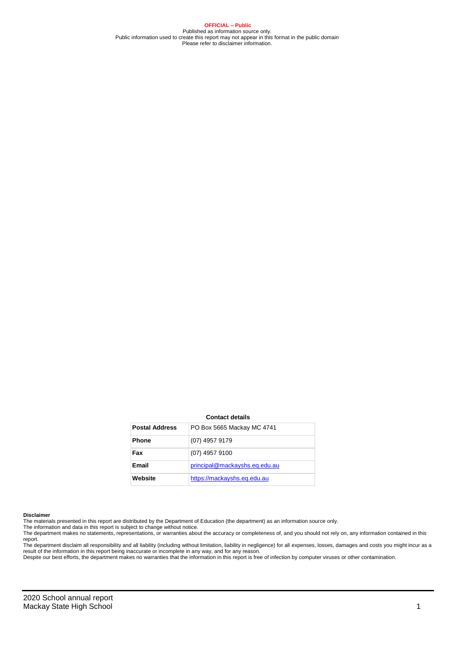**OFFICIAL – Public** Published as information source only. Public information used to create this report may not appear in this format in the public domain Please refer to disclaimer information.

#### **Contact details**

| <b>Postal Address</b> | PO Box 5665 Mackay MC 4741    |
|-----------------------|-------------------------------|
| <b>Phone</b>          | (07) 4957 9179                |
| Fax                   | (07) 4957 9100                |
| Email                 | principal@mackayshs.eq.edu.au |
| Website               | https://mackayshs.eq.edu.au   |

#### **Disclaimer**

The materials presented in this report are distributed by the Department of Education (the department) as an information source only. The information and data in this report is subject to change without notice.

The department makes no statements, representations, or warranties about the accuracy or completeness of, and you should not rely on, any information contained in this report.

The department disclaim all responsibility and all liability (including without limitation, liability in negligence) for all expenses, losses, damages and costs you might incur as a<br>result of the information in this report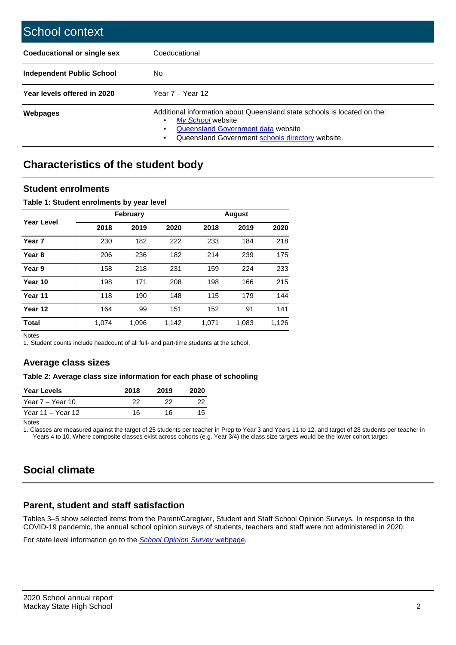| School context                   |                                                                                                                                                                                              |
|----------------------------------|----------------------------------------------------------------------------------------------------------------------------------------------------------------------------------------------|
| Coeducational or single sex      | Coeducational                                                                                                                                                                                |
| <b>Independent Public School</b> | No                                                                                                                                                                                           |
| Year levels offered in 2020      | Year $7 -$ Year 12                                                                                                                                                                           |
| <b>Webpages</b>                  | Additional information about Queensland state schools is located on the:<br>My School website<br>٠<br>Queensland Government data website<br>Queensland Government schools directory website. |

## **Characteristics of the student body**

### **Student enrolments**

### **Table 1: Student enrolments by year level**

|                   |       | February |       | <b>August</b> |       |       |  |  |
|-------------------|-------|----------|-------|---------------|-------|-------|--|--|
| <b>Year Level</b> | 2018  | 2019     | 2020  | 2018          | 2019  | 2020  |  |  |
| Year <sub>7</sub> | 230   | 182      | 222   | 233           | 184   | 218   |  |  |
| Year <sub>8</sub> | 206   | 236      | 182   | 214           | 239   | 175   |  |  |
| Year 9            | 158   | 218      | 231   | 159           | 224   | 233   |  |  |
| Year 10           | 198   | 171      | 208   | 198           | 166   | 215   |  |  |
| Year 11           | 118   | 190      | 148   | 115           | 179   | 144   |  |  |
| Year 12           | 164   | 99       | 151   | 152           | 91    | 141   |  |  |
| <b>Total</b>      | 1.074 | 1,096    | 1,142 | 1,071         | 1,083 | 1,126 |  |  |

Notes

1. Student counts include headcount of all full- and part-time students at the school.

### **Average class sizes**

### **Table 2: Average class size information for each phase of schooling**

| <b>Year Levels</b> | 2018 | 2019 | 2020 |
|--------------------|------|------|------|
| Year 7 – Year 10   | 22   |      | フフ   |
| Year 11 – Year 12  | 16   | 16.  | 15.  |

Notes

1. Classes are measured against the target of 25 students per teacher in Prep to Year 3 and Years 11 to 12, and target of 28 students per teacher in Years 4 to 10. Where composite classes exist across cohorts (e.g. Year 3/4) the class size targets would be the lower cohort target.

# **Social climate**

### **Parent, student and staff satisfaction**

Tables 3–5 show selected items from the Parent/Caregiver, Student and Staff School Opinion Surveys. In response to the COVID-19 pandemic, the annual school opinion surveys of students, teachers and staff were not administered in 2020.

For state level information go to the *[School Opinion Survey](https://qed.qld.gov.au/publications/reports/statistics/schooling/schools/schoolopinionsurvey)* [webpage.](https://qed.qld.gov.au/publications/reports/statistics/schooling/schools/schoolopinionsurvey)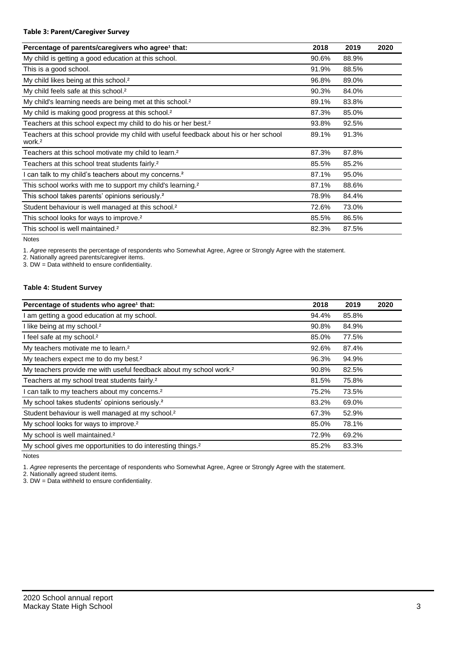### **Table 3: Parent/Caregiver Survey**

| Percentage of parents/caregivers who agree <sup>1</sup> that:                                               | 2018  | 2019  | 2020 |
|-------------------------------------------------------------------------------------------------------------|-------|-------|------|
| My child is getting a good education at this school.                                                        | 90.6% | 88.9% |      |
| This is a good school.                                                                                      | 91.9% | 88.5% |      |
| My child likes being at this school. <sup>2</sup>                                                           | 96.8% | 89.0% |      |
| My child feels safe at this school. <sup>2</sup>                                                            | 90.3% | 84.0% |      |
| My child's learning needs are being met at this school. <sup>2</sup>                                        | 89.1% | 83.8% |      |
| My child is making good progress at this school. <sup>2</sup>                                               | 87.3% | 85.0% |      |
| Teachers at this school expect my child to do his or her best. <sup>2</sup>                                 | 93.8% | 92.5% |      |
| Teachers at this school provide my child with useful feedback about his or her school<br>work. <sup>2</sup> | 89.1% | 91.3% |      |
| Teachers at this school motivate my child to learn. <sup>2</sup>                                            | 87.3% | 87.8% |      |
| Teachers at this school treat students fairly. <sup>2</sup>                                                 | 85.5% | 85.2% |      |
| I can talk to my child's teachers about my concerns. <sup>2</sup>                                           | 87.1% | 95.0% |      |
| This school works with me to support my child's learning. <sup>2</sup>                                      | 87.1% | 88.6% |      |
| This school takes parents' opinions seriously. <sup>2</sup>                                                 | 78.9% | 84.4% |      |
| Student behaviour is well managed at this school. <sup>2</sup>                                              | 72.6% | 73.0% |      |
| This school looks for ways to improve. <sup>2</sup>                                                         | 85.5% | 86.5% |      |
| This school is well maintained. <sup>2</sup>                                                                | 82.3% | 87.5% |      |

Notes

1. *Agree* represents the percentage of respondents who Somewhat Agree, Agree or Strongly Agree with the statement.

2. Nationally agreed parents/caregiver items.

3. DW = Data withheld to ensure confidentiality.

### **Table 4: Student Survey**

| Percentage of students who agree <sup>1</sup> that:                            | 2018  | 2019  | 2020 |
|--------------------------------------------------------------------------------|-------|-------|------|
| I am getting a good education at my school.                                    | 94.4% | 85.8% |      |
| I like being at my school. <sup>2</sup>                                        | 90.8% | 84.9% |      |
| I feel safe at my school. <sup>2</sup>                                         | 85.0% | 77.5% |      |
| My teachers motivate me to learn. <sup>2</sup>                                 | 92.6% | 87.4% |      |
| My teachers expect me to do my best. <sup>2</sup>                              | 96.3% | 94.9% |      |
| My teachers provide me with useful feedback about my school work. <sup>2</sup> | 90.8% | 82.5% |      |
| Teachers at my school treat students fairly. <sup>2</sup>                      | 81.5% | 75.8% |      |
| I can talk to my teachers about my concerns. <sup>2</sup>                      | 75.2% | 73.5% |      |
| My school takes students' opinions seriously. <sup>2</sup>                     | 83.2% | 69.0% |      |
| Student behaviour is well managed at my school. <sup>2</sup>                   | 67.3% | 52.9% |      |
| My school looks for ways to improve. <sup>2</sup>                              | 85.0% | 78.1% |      |
| My school is well maintained. <sup>2</sup>                                     | 72.9% | 69.2% |      |
| My school gives me opportunities to do interesting things. <sup>2</sup>        | 85.2% | 83.3% |      |

Notes

1. *Agree* represents the percentage of respondents who Somewhat Agree, Agree or Strongly Agree with the statement.

2. Nationally agreed student items.

3. DW = Data withheld to ensure confidentiality.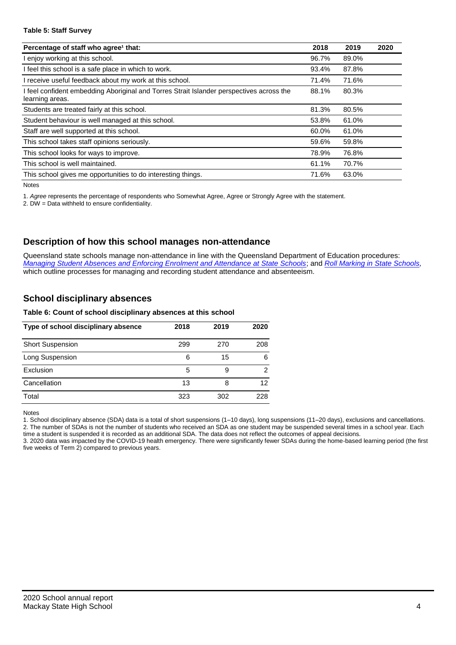### **Table 5: Staff Survey**

| Percentage of staff who agree <sup>1</sup> that:                                                            | 2018  | 2019  | 2020 |
|-------------------------------------------------------------------------------------------------------------|-------|-------|------|
| I enjoy working at this school.                                                                             | 96.7% | 89.0% |      |
| I feel this school is a safe place in which to work.                                                        | 93.4% | 87.8% |      |
| I receive useful feedback about my work at this school.                                                     | 71.4% | 71.6% |      |
| I feel confident embedding Aboriginal and Torres Strait Islander perspectives across the<br>learning areas. | 88.1% | 80.3% |      |
| Students are treated fairly at this school.                                                                 | 81.3% | 80.5% |      |
| Student behaviour is well managed at this school.                                                           | 53.8% | 61.0% |      |
| Staff are well supported at this school.                                                                    | 60.0% | 61.0% |      |
| This school takes staff opinions seriously.                                                                 | 59.6% | 59.8% |      |
| This school looks for ways to improve.                                                                      | 78.9% | 76.8% |      |
| This school is well maintained.                                                                             | 61.1% | 70.7% |      |
| This school gives me opportunities to do interesting things.                                                | 71.6% | 63.0% |      |

Notes

1. *Agree* represents the percentage of respondents who Somewhat Agree, Agree or Strongly Agree with the statement.

2. DW = Data withheld to ensure confidentiality.

### **Description of how this school manages non-attendance**

Queensland state schools manage non-attendance in line with the Queensland Department of Education procedures: *[Managing Student Absences and Enforcing Enrolment and Attendance at State Schools](https://ppr.qed.qld.gov.au/pp/managing-student-absences-and-enforcing-enrolment-and-attendance-at-state-schools-procedure)*; and *[Roll Marking in State Schools,](https://ppr.qed.qld.gov.au/pp/roll-marking-in-state-schools-procedure)* which outline processes for managing and recording student attendance and absenteeism.

### **School disciplinary absences**

### **Table 6: Count of school disciplinary absences at this school**

| Type of school disciplinary absence | 2018 | 2019 | 2020 |
|-------------------------------------|------|------|------|
| <b>Short Suspension</b>             | 299  | 270  | 208  |
| Long Suspension                     | 6    | 15   | 6    |
| Exclusion                           | 5    | 9    | 2    |
| Cancellation                        | 13   | 8    | 12   |
| Total                               | 323  | 302  | 228  |

Notes

1. School disciplinary absence (SDA) data is a total of short suspensions (1–10 days), long suspensions (11–20 days), exclusions and cancellations. 2. The number of SDAs is not the number of students who received an SDA as one student may be suspended several times in a school year. Each time a student is suspended it is recorded as an additional SDA. The data does not reflect the outcomes of appeal decisions.

3. 2020 data was impacted by the COVID-19 health emergency. There were significantly fewer SDAs during the home-based learning period (the first five weeks of Term 2) compared to previous years.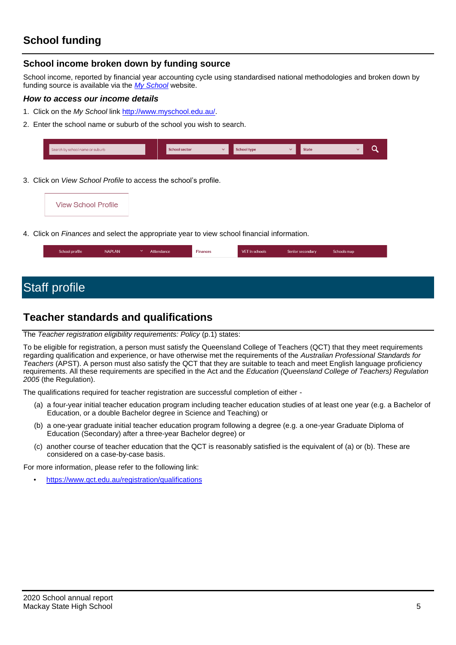# **School funding**

### **School income broken down by funding source**

School income, reported by financial year accounting cycle using standardised national methodologies and broken down by funding source is available via the *[My School](http://www.myschool.edu.au/)* website.

### *How to access our income details*

- 1. Click on the *My School* link [http://www.myschool.edu.au/.](http://www.myschool.edu.au/)
- 2. Enter the school name or suburb of the school you wish to search.

| Search by school name or suburb | <b>School sector</b> | School type | <b>State</b> |  |
|---------------------------------|----------------------|-------------|--------------|--|
|                                 |                      |             |              |  |

3. Click on *View School Profile* to access the school's profile.



4. Click on *Finances* and select the appropriate year to view school financial information.

| School profile | <b>NAPLAN</b> | $\checkmark$ | Attendance | <b>Finances</b> | VET in schools | Senior secondary | Schools map |
|----------------|---------------|--------------|------------|-----------------|----------------|------------------|-------------|
|                |               |              |            |                 |                |                  |             |

# Staff profile

## **Teacher standards and qualifications**

### The *Teacher registration eligibility requirements: Policy* (p.1) states:

To be eligible for registration, a person must satisfy the Queensland College of Teachers (QCT) that they meet requirements regarding qualification and experience, or have otherwise met the requirements of the *Australian Professional Standards for Teachers* (APST). A person must also satisfy the QCT that they are suitable to teach and meet English language proficiency requirements. All these requirements are specified in the Act and the *Education (Queensland College of Teachers) Regulation 2005* (the Regulation).

The qualifications required for teacher registration are successful completion of either -

- (a) a four-year initial teacher education program including teacher education studies of at least one year (e.g. a Bachelor of Education, or a double Bachelor degree in Science and Teaching) or
- (b) a one-year graduate initial teacher education program following a degree (e.g. a one-year Graduate Diploma of Education (Secondary) after a three-year Bachelor degree) or
- (c) another course of teacher education that the QCT is reasonably satisfied is the equivalent of (a) or (b). These are considered on a case-by-case basis.

For more information, please refer to the following link:

• <https://www.qct.edu.au/registration/qualifications>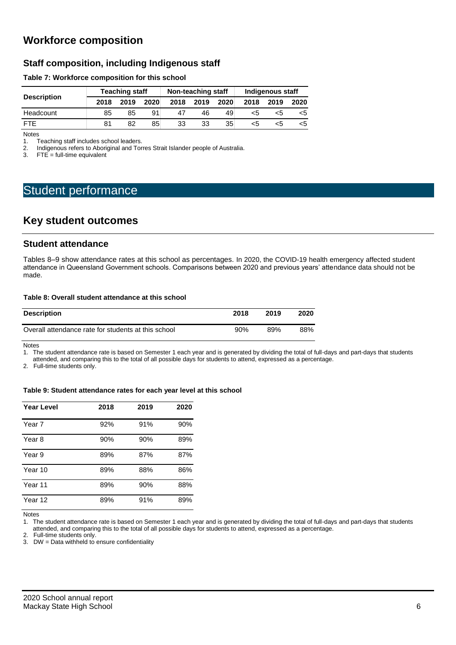# **Workforce composition**

### **Staff composition, including Indigenous staff**

### **Table 7: Workforce composition for this school**

|                    |      | <b>Teaching staff</b> |      |      | Non-teaching staff |      | Indigenous staff |      |      |  |
|--------------------|------|-----------------------|------|------|--------------------|------|------------------|------|------|--|
| <b>Description</b> | 2018 | 2019                  | 2020 | 2018 | 2019               | 2020 | 2018             | 2019 | 2020 |  |
| Headcount          | 85   | 85                    | 91   | 47   | 46                 | 49   | כ>               | כ>   | <5   |  |
| <b>FTF</b>         | 81   | 82                    | 85   | 33   | 33                 | 35   |                  | כ>   | <5   |  |

Notes<br>1. T 1. Teaching staff includes school leaders.<br>2. Indigenous refers to Aboriginal and Tor

2. Indigenous refers to Aboriginal and Torres Strait Islander people of Australia.<br>3. FTE = full-time equivalent

 $FTE = full-time equivalent$ 

# Student performance

### **Key student outcomes**

### **Student attendance**

Tables 8–9 show attendance rates at this school as percentages. In 2020, the COVID-19 health emergency affected student attendance in Queensland Government schools. Comparisons between 2020 and previous years' attendance data should not be made.

### **Table 8: Overall student attendance at this school**

| <b>Description</b>                                  | 2018 | 2019 | 2020 |
|-----------------------------------------------------|------|------|------|
| Overall attendance rate for students at this school | 90%  | 89%  | 88%  |

Notes

1. The student attendance rate is based on Semester 1 each year and is generated by dividing the total of full-days and part-days that students attended, and comparing this to the total of all possible days for students to attend, expressed as a percentage.

2. Full-time students only.

### **Table 9: Student attendance rates for each year level at this school**

| <b>Year Level</b> | 2018 | 2019 | 2020 |
|-------------------|------|------|------|
| Year 7            | 92%  | 91%  | 90%  |
| Year 8            | 90%  | 90%  | 89%  |
| Year 9            | 89%  | 87%  | 87%  |
| Year 10           | 89%  | 88%  | 86%  |
| Year 11           | 89%  | 90%  | 88%  |
| Year 12           | 89%  | 91%  | 89%  |

Notes

1. The student attendance rate is based on Semester 1 each year and is generated by dividing the total of full-days and part-days that students attended, and comparing this to the total of all possible days for students to attend, expressed as a percentage.

2. Full-time students only.

3. DW = Data withheld to ensure confidentiality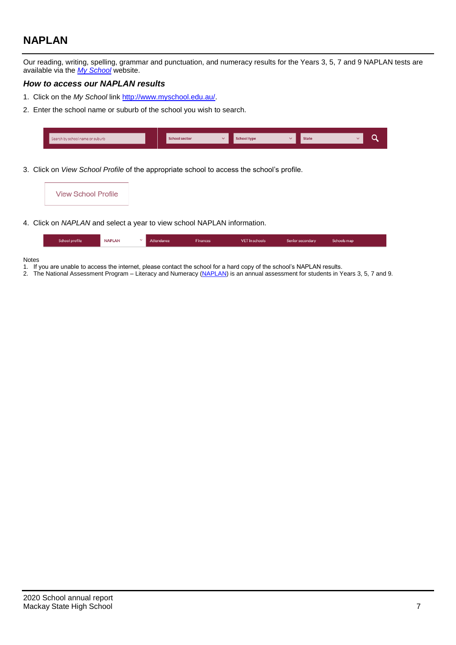# **NAPLAN**

Our reading, writing, spelling, grammar and punctuation, and numeracy results for the Years 3, 5, 7 and 9 NAPLAN tests are available via the *[My School](http://www.myschool.edu.au/)* website.

### *How to access our NAPLAN results*

- 1. Click on the *My School* link [http://www.myschool.edu.au/.](http://www.myschool.edu.au/)
- 2. Enter the school name or suburb of the school you wish to search.

| Search by school name or suburb | <b>School sector</b> | chool type | <b>State</b> |  |
|---------------------------------|----------------------|------------|--------------|--|
|                                 |                      |            |              |  |

3. Click on *View School Profile* of the appropriate school to access the school's profile.

4. Click on *NAPLAN* and select a year to view school NAPLAN information.

| School profile | <b>NAPLAN</b> | Attendance | inances | <b>VET</b> in schools | Senior secondary | Schools map |
|----------------|---------------|------------|---------|-----------------------|------------------|-------------|
|                |               |            |         |                       |                  |             |

### Notes

- 1. If you are unable to access the internet, please contact the school for a hard copy of the school's NAPLAN results.
- 2. The National Assessment Program Literacy and Numeracy [\(NAPLAN\)](http://www.nap.edu.au/naplan) is an annual assessment for students in Years 3, 5, 7 and 9.